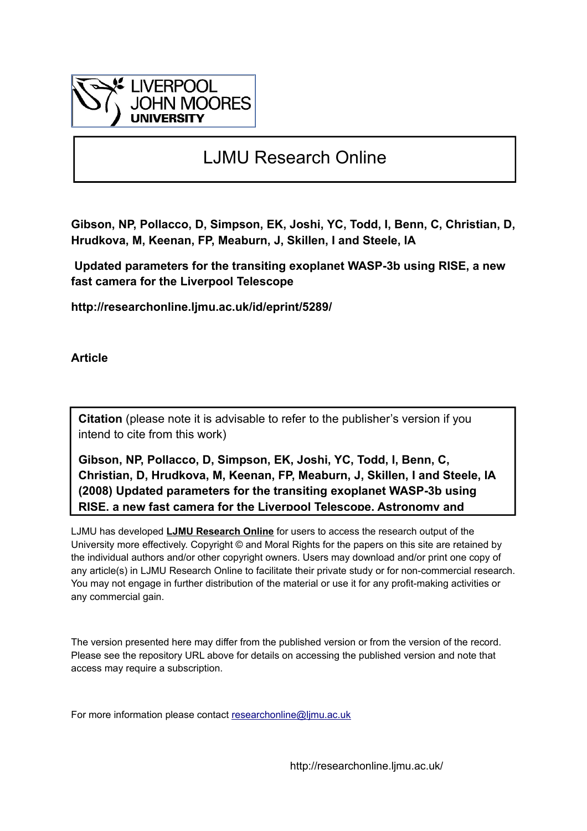

# LJMU Research Online

**Gibson, NP, Pollacco, D, Simpson, EK, Joshi, YC, Todd, I, Benn, C, Christian, D, Hrudkova, M, Keenan, FP, Meaburn, J, Skillen, I and Steele, IA**

 **Updated parameters for the transiting exoplanet WASP-3b using RISE, a new fast camera for the Liverpool Telescope**

**http://researchonline.ljmu.ac.uk/id/eprint/5289/**

**Article**

**Citation** (please note it is advisable to refer to the publisher's version if you intend to cite from this work)

**Gibson, NP, Pollacco, D, Simpson, EK, Joshi, YC, Todd, I, Benn, C, Christian, D, Hrudkova, M, Keenan, FP, Meaburn, J, Skillen, I and Steele, IA (2008) Updated parameters for the transiting exoplanet WASP-3b using RISE, a new fast camera for the Liverpool Telescope. Astronomy and** 

LJMU has developed **[LJMU Research Online](http://researchonline.ljmu.ac.uk/)** for users to access the research output of the University more effectively. Copyright © and Moral Rights for the papers on this site are retained by the individual authors and/or other copyright owners. Users may download and/or print one copy of any article(s) in LJMU Research Online to facilitate their private study or for non-commercial research. You may not engage in further distribution of the material or use it for any profit-making activities or any commercial gain.

The version presented here may differ from the published version or from the version of the record. Please see the repository URL above for details on accessing the published version and note that access may require a subscription.

For more information please contact researchonline@limu.ac.uk

http://researchonline.ljmu.ac.uk/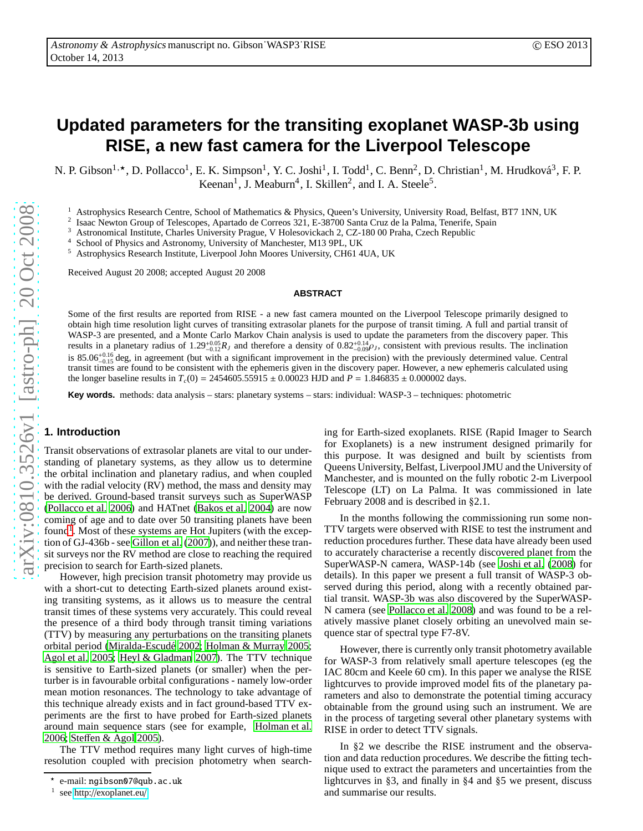## **Updated parameters for the transiting exoplanet WASP-3b using RISE, a new fast camera for the Liverpool Telescope**

N. P. Gibson<sup>1,\*</sup>, D. Pollacco<sup>1</sup>, E. K. Simpson<sup>1</sup>, Y. C. Joshi<sup>1</sup>, I. Todd<sup>1</sup>, C. Benn<sup>2</sup>, D. Christian<sup>1</sup>, M. Hrudková<sup>3</sup>, F. P. Keenan<sup>1</sup>, J. Meaburn<sup>4</sup>, I. Skillen<sup>2</sup>, and I. A. Steele<sup>5</sup>.

<sup>1</sup> Astrophysics Research Centre, School of Mathematics & Physics, Queen's University, University Road, Belfast, BT7 1NN, UK

2 Isaac Newton Group of Telescopes, Apartado de Correos 321, E-38700 Santa Cruz de la Palma, Tenerife, Spain

<sup>3</sup> Astronomical Institute, Charles University Prague, V Holesovickach 2, CZ-180 00 Praha, Czech Republic

<sup>4</sup> School of Physics and Astronomy, University of Manchester, M13 9PL, UK<br><sup>5</sup> Astrophysics Pesearch Institute, Liverpool John Moores University CH61.4

<sup>5</sup> Astrophysics Research Institute, Liverpool John Moores University, CH61 4UA, UK

Received August 20 2008; accepted August 20 2008

#### **ABSTRACT**

Some of the first results are reported from RISE - a new fast camera mounted on the Liverpool Telescope primarily designed to obtain high time resolution light curves of transiting extrasolar planets for the purpose of transit timing. A full and partial transit of WASP-3 are presented, and a Monte Carlo Markov Chain analysis is used to update the parameters from the discovery paper. This results in a planetary radius of  $1.29^{+0.05}_{-0.12}R_J$  and therefore a density of  $0.82^{+0.14}_{-0.09}\rho_J$ , consistent with previous results. The inclination is 85.06<sup> $+0.16$ </sup> deg, in agreement (but with a significant improvement in the precision) with the previously determined value. Central transit times are found to be consistent with the ephemeris given in the discovery paper. However, a new ephemeris calculated using the longer baseline results in  $T_c(0) = 2454605.55915 \pm 0.00023$  HJD and  $P = 1.846835 \pm 0.000002$  days.

**Key words.** methods: data analysis – stars: planetary systems – stars: individual: WASP-3 – techniques: photometric

### **1. Introduction**

Transit observations of extrasolar planets are vital to our understanding of planetary systems, as they allow us to determine the orbital inclination and planetary radius, and when coupled with the radial velocity (RV) method, the mass and density may be derived. Ground-based transit surveys such as SuperWASP [\(Pollacco et al. 2006\)](#page-5-0) and HATnet [\(Bakos et al. 2004\)](#page-4-0) are now coming of age and to date over 50 transiting planets have been found<sup>[1](#page-1-0)</sup>. Most of these systems are Hot Jupiters (with the exception of GJ-436b - see [Gillon et al.](#page-5-1) [\(2007\)](#page-5-1)), and neither these transit surveys nor the RV method are close to reaching the required precision to search for Earth-sized planets.

However, high precision transit photometry may provide us with a short-cut to detecting Earth-sized planets around existing transiting systems, as it allows us to measure the central transit times of these systems very accurately. This could reveal the presence of a third body through transit timing variations (TTV) by measuring any perturbations on the transiting planets orbital period (Miralda-Escudé 2002; [Holman & Murray 2005](#page-5-3); [Agol et al. 2005;](#page-4-1) [Heyl & Gladman 2007\)](#page-5-4). The TTV technique is sensitive to Earth-sized planets (or smaller) when the perturber is in favourable orbital configurations - namely low-order mean motion resonances. The technology to take advantage of this technique already exists and in fact ground-based TTV experiments are the first to have probed for Earth-sized planets around main sequence stars (see for example, [Holman et al.](#page-5-5) [2006](#page-5-5); Ste ff[en & Agol 2005\)](#page-5-6).

The TTV method requires many light curves of high-time resolution coupled with precision photometry when search-

ing for Earth-sized exoplanets. RISE (Rapid Imager to Searc h for Exoplanets) is a new instrument designed primarily for this purpose. It was designed and built by scientists from Queens University, Belfast, Liverpool JMU and the University of Manchester, and is mounted on the fully robotic 2-m Liverpoo l Telescope (LT) on La Palma. It was commissioned in late February 2008 and is described in §2.1.

In the months following the commissioning run some non-TTV targets were observed with RISE to test the instrument and reduction procedures further. These data have already been used to accurately characterise a recently discovered planet from the SuperWASP-N camera, WASP-14b (see [Joshi et al. \(2008](#page-5-7)) for details). In this paper we present a full transit of WASP-3 observed during this period, along with a recently obtained partial transit. WASP-3b was also discovered by the SuperWASP-N camera (see [Pollacco et al. 2008\)](#page-5-8) and was found to be a relatively massive planet closely orbiting an unevolved main sequence star of spectral type F7-8V.

However, there is currently only transit photometry available for WASP-3 from relatively small aperture telescopes (eg th e IAC 80cm and Keele 60 cm). In this paper we analyse the RISE lightcurves to provide improved model fits of the planetary parameters and also to demonstrate the potential timing accuracy obtainable from the ground using such an instrument. We are in the process of targeting several other planetary systems with RISE in order to detect TTV signals.

In §2 we describe the RISE instrument and the observation and data reduction procedures. We describe the fitting technique used to extract the parameters and uncertainties from the lightcurves in §3, and finally in §4 and §5 we present, discuss and summarise our results.

<sup>⋆</sup> e-mail: ngibson07@qub.ac.uk

<span id="page-1-0"></span><sup>1</sup> see http://[exoplanet.eu](http://exoplanet.eu/)/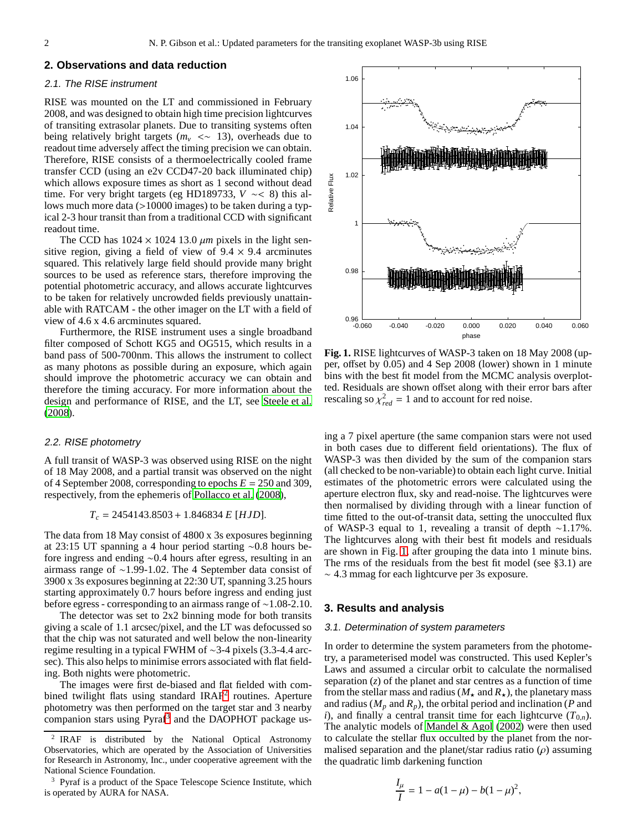#### **2. Observations and data reduction**

#### 2.1. The RISE instrument

RISE was mounted on the LT and commissioned in February 2008, and was designed to obtain high time precision lightcurves of transiting extrasolar planets. Due to transiting systems often being relatively bright targets ( $m<sub>v</sub> < \sim 13$ ), overheads due to readout time adversely affect the timing precision we can obtain. Therefore, RISE consists of a thermoelectrically cooled frame transfer CCD (using an e2v CCD47-20 back illuminated chip) which allows exposure times as short as 1 second without dead time. For very bright targets (eg HD189733, *V* ∼< 8) this allows much more data (>10000 images) to be taken during a typical 2-3 hour transit than from a traditional CCD with significant readout time.

The CCD has  $1024 \times 1024$  13.0  $\mu$ m pixels in the light sensitive region, giving a field of view of  $9.4 \times 9.4$  arcminutes squared. This relatively large field should provide many bright sources to be used as reference stars, therefore improving the potential photometric accuracy, and allows accurate lightcurves to be taken for relatively uncrowded fields previously unattainable with RATCAM - the other imager on the LT with a field of view of 4.6 x 4.6 arcminutes squared.

Furthermore, the RISE instrument uses a single broadband filter composed of Schott KG5 and OG515, which results in a band pass of 500-700nm. This allows the instrument to collect as many photons as possible during an exposure, which again should improve the photometric accuracy we can obtain and therefore the timing accuracy. For more information about the design and performance of RISE, and the LT, see [Steele et al.](#page-5-9) [\(2008\)](#page-5-9).

#### 2.2. RISE photometry

A full transit of WASP-3 was observed using RISE on the night of 18 May 2008, and a partial transit was observed on the night of 4 September 2008, corresponding to epochs *E* = 250 and 309, respectively, from the ephemeris of [Pollacco et al. \(2008\)](#page-5-8),

#### *T<sup>c</sup>* = 2454143.8503 + 1.846834 *E* [*HJD*].

The data from 18 May consist of 4800 x 3s exposures beginning at 23:15 UT spanning a 4 hour period starting ∼0.8 hours before ingress and ending ∼0.4 hours after egress, resulting in an airmass range of ∼1.99-1.02. The 4 September data consist of 3900 x 3s exposures beginning at 22:30 UT, spanning 3.25 hours starting approximately 0.7 hours before ingress and ending just before egress - corresponding to an airmass range of ∼1.08-2.10.

The detector was set to 2x2 binning mode for both transits giving a scale of 1.1 arcsec/pixel, and the LT was defocussed so that the chip was not saturated and well below the non-linearity regime resulting in a typical FWHM of ∼3-4 pixels (3.3-4.4 arcsec). This also helps to minimise errors associated with flat fielding. Both nights were photometric.

The images were first de-biased and flat fielded with com-bined twilight flats using standard IRAF<sup>[2](#page-2-0)</sup> routines. Aperture photometry was then performed on the target star and 3 nearby companion stars using Pyraf<sup>[3](#page-2-1)</sup> and the DAOPHOT package us-



<span id="page-2-2"></span>**Fig. 1.** RISE lightcurves of WASP-3 taken on 18 May 2008 (upper, offset by 0.05) and 4 Sep 2008 (lower) shown in 1 minute bins with the best fit model from the MCMC analysis overplotted. Residuals are shown offset along with their error bars after rescaling so  $\chi^2_{red} = 1$  and to account for red noise.

ing a 7 pixel aperture (the same companion stars were not used in both cases due to different field orientations). The flux of WASP-3 was then divided by the sum of the companion stars (all checked to be non-variable) to obtain each light curve. Initial estimates of the photometric errors were calculated using the aperture electron flux, sky and read-noise. The lightcurves were then normalised by dividing through with a linear function of time fitted to the out-of-transit data, setting the unocculted flux of WASP-3 equal to 1, revealing a transit of depth ∼1.17%. The lightcurves along with their best fit models and residuals are shown in Fig. [1,](#page-2-2) after grouping the data into 1 minute bins. The rms of the residuals from the best fit model (see §3.1) are ∼ 4.3 mmag for each lightcurve per 3s exposure.

#### **3. Results and analysis**

#### 3.1. Determination of system parameters

In order to determine the system parameters from the photometry, a parameterised model was constructed. This used Kepler's Laws and assumed a circular orbit to calculate the normalised separation  $(z)$  of the planet and star centres as a function of time from the stellar mass and radius ( $M_{\star}$  and  $R_{\star}$ ), the planetary mass and radius ( $M_p$  and  $R_p$ ), the orbital period and inclination (*P* and *i*), and finally a central transit time for each lightcurve  $(T_{0,n})$ . The analytic models of [Mandel & Agol \(2002\)](#page-5-10) were then used to calculate the stellar flux occulted by the planet from the normalised separation and the planet/star radius ratio  $(\rho)$  assuming the quadratic limb darkening function

$$
\frac{I_{\mu}}{I} = 1 - a(1 - \mu) - b(1 - \mu)^{2},
$$

<span id="page-2-0"></span><sup>2</sup> IRAF is distributed by the National Optical Astronomy Observatories, which are operated by the Association of Universities for Research in Astronomy, Inc., under cooperative agreement with the National Science Foundation.

<span id="page-2-1"></span><sup>3</sup> Pyraf is a product of the Space Telescope Science Institute, which is operated by AURA for NASA.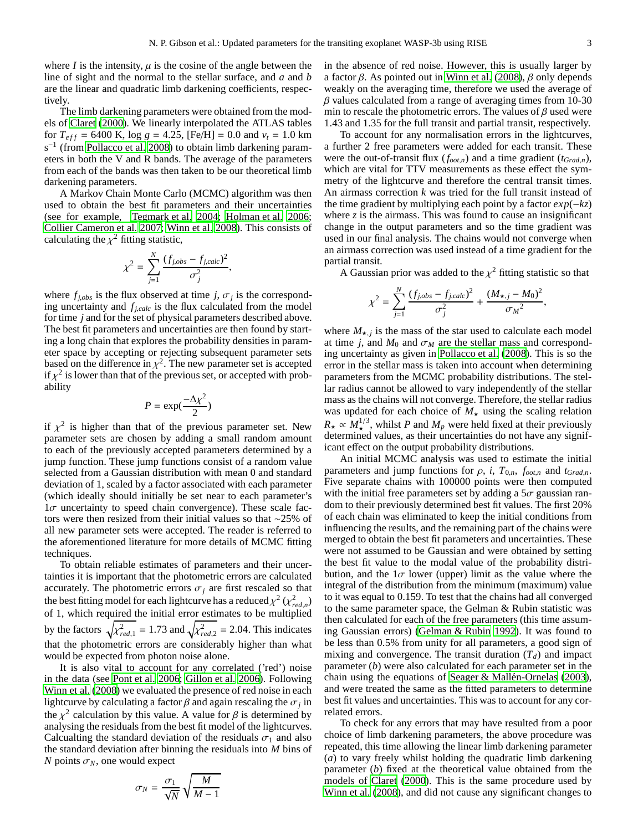where *I* is the intensity,  $\mu$  is the cosine of the angle between the line of sight and the normal to the stellar surface, and *a* and *b* are the linear and quadratic limb darkening coefficients, respectively.

The limb darkening parameters were obtained from the models of [Claret \(2000](#page-4-2)). We linearly interpolated the ATLAS tables for  $T_{eff}$  = 6400 K, log  $g$  = 4.25, [Fe/H] = 0.0 and  $v_t$  = 1.0 km  $s^{-1}$  (from [Pollacco et al. 2008\)](#page-5-8) to obtain limb darkening parameters in both the V and R bands. The average of the parameters from each of the bands was then taken to be our theoretical limb darkening parameters.

A Markov Chain Monte Carlo (MCMC) algorithm was then used to obtain the best fit parameters and their uncertainties (see for example, [Tegmark et al. 2004;](#page-5-11) [Holman et al. 2006](#page-5-5); [Collier Cameron et al. 2007;](#page-4-3) [Winn et al. 2008](#page-5-12)). This consists of calculating the  $\chi^2$  fitting statistic,

$$
\chi^2 = \sum_{j=1}^N \frac{(f_{j,obs} - f_{j,calc})^2}{\sigma_j^2}
$$

,

where  $f_{j,obs}$  is the flux observed at time *j*,  $\sigma_j$  is the corresponding uncertainty and  $f_{j,calc}$  is the flux calculated from the model for time *j* and for the set of physical parameters described above. The best fit parameters and uncertainties are then found by starting a long chain that explores the probability densities in parameter space by accepting or rejecting subsequent parameter sets based on the difference in  $\chi^2$ . The new parameter set is accepted if  $\chi^2$  is lower than that of the previous set, or accepted with probability

$$
P = \exp(\frac{-\Delta \chi^2}{2})
$$

if  $\chi^2$  is higher than that of the previous parameter set. New parameter sets are chosen by adding a small random amount to each of the previously accepted parameters determined by a jump function. These jump functions consist of a random value selected from a Gaussian distribution with mean 0 and standard deviation of 1, scaled by a factor associated with each parameter (which ideally should initially be set near to each parameter's  $1\sigma$  uncertainty to speed chain convergence). These scale factors were then resized from their initial values so that ∼25% of all new parameter sets were accepted. The reader is referred to the aforementioned literature for more details of MCMC fitting techniques.

To obtain reliable estimates of parameters and their uncertainties it is important that the photometric errors are calculated accurately. The photometric errors  $\sigma_j$  are first rescaled so that the best fitting model for each lightcurve has a reduced  $\chi^2$  ( $\chi^2_{red,n}$ ) of 1, which required the initial error estimates to be multiplied by the factors  $\sqrt{\chi^2_{red,1}} = 1.73$  and  $\sqrt{\chi^2_{red,2}} = 2.04$ . This indicates that the photometric errors are considerably higher than what would be expected from photon noise alone.

It is also vital to account for any correlated ('red') noise in the data (see [Pont et al. 2006;](#page-5-13) [Gillon et al. 2006\)](#page-5-14). Following [Winn et al. \(2008](#page-5-12)) we evaluated the presence of red noise in each lightcurve by calculating a factor  $\beta$  and again rescaling the  $\sigma_j$  in the  $\chi^2$  calculation by this value. A value for  $\beta$  is determined by analysing the residuals from the best fit model of the lightcurves. Calcualting the standard deviation of the residuals  $\sigma_1$  and also the standard deviation after binning the residuals into *M* bins of *N* points  $\sigma_N$ , one would expect

$$
\sigma_N = \frac{\sigma_1}{\sqrt{N}} \sqrt{\frac{M}{M-1}}
$$

in the absence of red noise. However, this is usually larger by a factor β. As pointed out in [Winn et al. \(2008\)](#page-5-12), β only depends weakly on the averaging time, therefore we used the average of  $\beta$  values calculated from a range of averaging times from 10-30 min to rescale the photometric errors. The values of  $\beta$  used were 1.43 and 1.35 for the full transit and partial transit, respectively.

To account for any normalisation errors in the lightcurves, a further 2 free parameters were added for each transit. These were the out-of-transit flux  $(f_{oot,n})$  and a time gradient  $(t_{Grad,n})$ , which are vital for TTV measurements as these effect the symmetry of the lightcurve and therefore the central transit times. An airmass correction *k* was tried for the full transit instead of the time gradient by multiplying each point by a factor *exp*(−*kz*) where  $\zeta$  is the airmass. This was found to cause an insignificant change in the output parameters and so the time gradient was used in our final analysis. The chains would not converge when an airmass correction was used instead of a time gradient for the partial transit.

A Gaussian prior was added to the  $\chi^2$  fitting statistic so that

$$
\chi^{2} = \sum_{j=1}^{N} \frac{(f_{j,obs} - f_{j,calc})^{2}}{\sigma_{j}^{2}} + \frac{(M_{\star,j} - M_{0})^{2}}{\sigma_{M}^{2}},
$$

where  $M_{\star,j}$  is the mass of the star used to calculate each model at time *j*, and  $M_0$  and  $\sigma_M$  are the stellar mass and corresponding uncertainty as given in [Pollacco et al. \(2008\)](#page-5-8). This is so the error in the stellar mass is taken into account when determining parameters from the MCMC probability distributions. The stellar radius cannot be allowed to vary independently of the stellar mass as the chains will not converge. Therefore, the stellar radius was updated for each choice of  $M<sub>★</sub>$  using the scaling relation  $R_{\star} \propto M_{\star}^{1/3}$ , whilst *P* and  $M_p$  were held fixed at their previously determined values, as their uncertainties do not have any significant effect on the output probability distributions.

An initial MCMC analysis was used to estimate the initial parameters and jump functions for  $\rho$ , *i*,  $T_{0,n}$ ,  $f_{oot,n}$  and  $t_{Grad,n}$ . Five separate chains with 100000 points were then computed with the initial free parameters set by adding a  $5\sigma$  gaussian random to their previously determined best fit values. The first 20% of each chain was eliminated to keep the initial conditions from influencing the results, and the remaining part of the chains were merged to obtain the best fit parameters and uncertainties. These were not assumed to be Gaussian and were obtained by setting the best fit value to the modal value of the probability distribution, and the  $1\sigma$  lower (upper) limit as the value where the integral of the distribution from the minimum (maximum) value to it was equal to 0.159. To test that the chains had all converged to the same parameter space, the Gelman & Rubin statistic was then calculated for each of the free parameters (this time assuming Gaussian errors) [\(Gelman & Rubin 1992](#page-4-4)). It was found to be less than 0.5% from unity for all parameters, a good sign of mixing and convergence. The transit duration  $(T_d)$  and impact parameter (*b*) were also calculated for each parameter set in the chain using the equations of Seager & Mallén-Ornelas (2003), and were treated the same as the fitted parameters to determine best fit values and uncertainties. This was to account for any correlated errors.

To check for any errors that may have resulted from a poor choice of limb darkening parameters, the above procedure was repeated, this time allowing the linear limb darkening parameter (*a*) to vary freely whilst holding the quadratic limb darkening parameter (*b*) fixed at the theoretical value obtained from the models of [Claret \(2000\)](#page-4-2). This is the same procedure used by [Winn et al.](#page-5-12) [\(2008\)](#page-5-12), and did not cause any significant changes to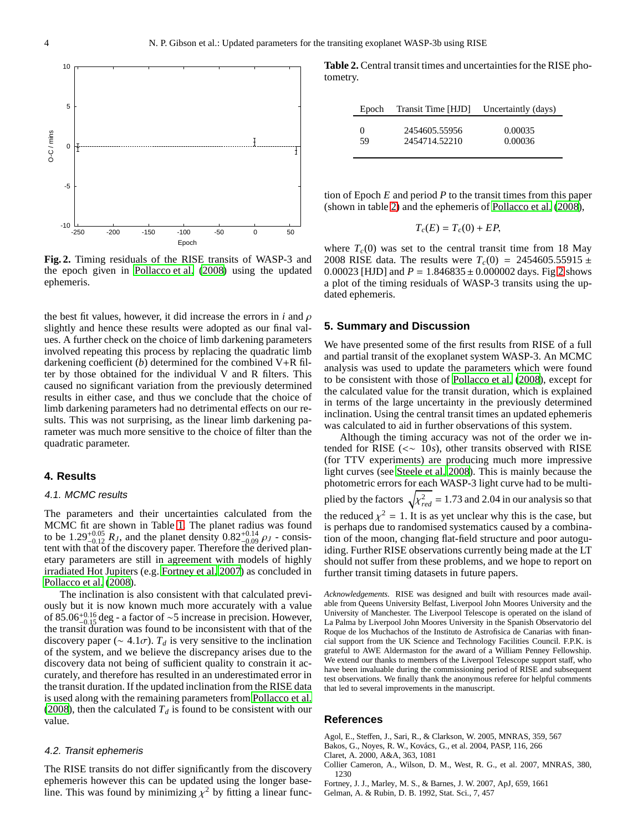

<span id="page-4-7"></span>**Fig. 2.** Timing residuals of the RISE transits of WASP-3 and the epoch given in [Pollacco et al. \(2008\)](#page-5-8) using the updated ephemeris.

the best fit values, however, it did increase the errors in  $i$  and  $\rho$ slightly and hence these results were adopted as our final values. A further check on the choice of limb darkening parameters involved repeating this process by replacing the quadratic limb darkening coefficient (*b*) determined for the combined V+R filter by those obtained for the individual V and R filters. This caused no significant variation from the previously determined results in either case, and thus we conclude that the choice of limb darkening parameters had no detrimental effects on our results. This was not surprising, as the linear limb darkening parameter was much more sensitive to the choice of filter than the quadratic parameter.

#### **4. Results**

#### 4.1. MCMC results

The parameters and their uncertainties calculated from the MCMC fit are shown in Table [1.](#page-5-16) The planet radius was found to be  $1.29_{-0.12}^{+0.05} R_J$ , and the planet density  $0.82_{-0.09}^{+0.14} \rho_J$  - consistent with the place discovery person Theorfore the degived plan tent with that of the discovery paper. Therefore the derived planetary parameters are still in agreement with models of highly irradiated Hot Jupiters (e.g. [Fortney et al. 2007](#page-4-5)) as concluded in [Pollacco et al. \(2008\)](#page-5-8).

The inclination is also consistent with that calculated previously but it is now known much more accurately with a value of 85.06<sup>+0.16</sup> deg - a factor of ~5 increase in precision. However, the trengt duration was found to be inconsistent with that of the the transit duration was found to be inconsistent with that of the discovery paper ( $\sim$  4.1 $\sigma$ ).  $T_d$  is very sensitive to the inclination of the system, and we believe the discrepancy arises due to the discovery data not being of sufficient quality to constrain it accurately, and therefore has resulted in an underestimated error in the transit duration. If the updated inclination from the RISE data is used along with the remaining parameters from [Pollacco et](#page-5-8) al. [\(2008\)](#page-5-8), then the calculated  $T_d$  is found to be consistent with our value.

#### 4.2. Transit ephemeris

The RISE transits do not differ significantly from the discovery ephemeris however this can be updated using the longer baseline. This was found by minimizing  $\chi^2$  by fitting a linear func-

**Table 2.** Central transit times and uncertainties for the RISE photometry.

<span id="page-4-6"></span>

| Epoch | Transit Time [HJD] Uncertaintly (days) |         |
|-------|----------------------------------------|---------|
| 0     | 2454605.55956                          | 0.00035 |
| 59    | 2454714.52210                          | 0.00036 |

tion of Epoch *E* and period *P* to the transit times from this paper (shown in table [2\)](#page-4-6) and the ephemeris of [Pollacco et al. \(2008](#page-5-8)),

$$
T_c(E) = T_c(0) + EP,
$$

where  $T_c(0)$  was set to the central transit time from 18 May 2008 RISE data. The results were  $T_c(0) = 2454605.55915 \pm 12008$ 0.00023 [HJD] and  $P = 1.846835 \pm 0.000002$  days. Fig [2](#page-4-7) shows a plot of the timing residuals of WASP-3 transits using the updated ephemeris.

#### **5. Summary and Discussion**

We have presented some of the first results from RISE of a full and partial transit of the exoplanet system WASP-3. An MCMC analysis was used to update the parameters which were found to be consistent with those of [Pollacco et al. \(2008](#page-5-8)), except for the calculated value for the transit duration, which is explained in terms of the large uncertainty in the previously determined inclination. Using the central transit times an updated ephemeris was calculated to aid in further observations of this system.

Although the timing accuracy was not of the order we intended for RISE (<∼ 10*s*), other transits observed with RISE (for TTV experiments) are producing much more impressive light curves (see [Steele et al. 2008](#page-5-9)). This is mainly because the photometric errors for each WASP-3 light curve had to be multiplied by the factors  $\sqrt{\chi^2_{red}} = 1.73$  and 2.04 in our analysis so that the reduced  $\chi^2 = 1$ . It is as yet unclear why this is the case, but is perhaps due to randomised systematics caused by a combination of the moon, changing flat-field structure and poor autoguiding. Further RISE observations currently being made at the LT should not suffer from these problems, and we hope to report on further transit timing datasets in future papers.

*Acknowledgements.* RISE was designed and built with resources made available from Queens University Belfast, Liverpool John Moores University and the University of Manchester. The Liverpool Telescope is operated on the island of La Palma by Liverpool John Moores University in the Spanish Observatorio del Roque de los Muchachos of the Instituto de Astrofisica de Canarias with financial support from the UK Science and Technology Facilities Council. F.P.K. is grateful to AWE Aldermaston for the award of a William Penney Fellowship. We extend our thanks to members of the Liverpool Telescope support staff, who have been invaluable during the commissioning period of RISE and subsequent test observations. We finally thank the anonymous referee for helpful comments that led to several improvements in the manuscript.

#### **References**

- <span id="page-4-1"></span>Agol, E., Steffen, J., Sari, R., & Clarkson, W. 2005, MNRAS, 359, 567
- <span id="page-4-0"></span>Bakos, G., Noyes, R. W., Kovács, G., et al. 2004, PASP, 116, 266
- <span id="page-4-2"></span>Claret, A. 2000, A&A, 363, 1081
- <span id="page-4-3"></span>Collier Cameron, A., Wilson, D. M., West, R. G., et al. 2007, MNRAS, 380, 1230
- <span id="page-4-5"></span>Fortney, J. J., Marley, M. S., & Barnes, J. W. 2007, ApJ, 659, 1661
- <span id="page-4-4"></span>Gelman, A. & Rubin, D. B. 1992, Stat. Sci., 7, 457